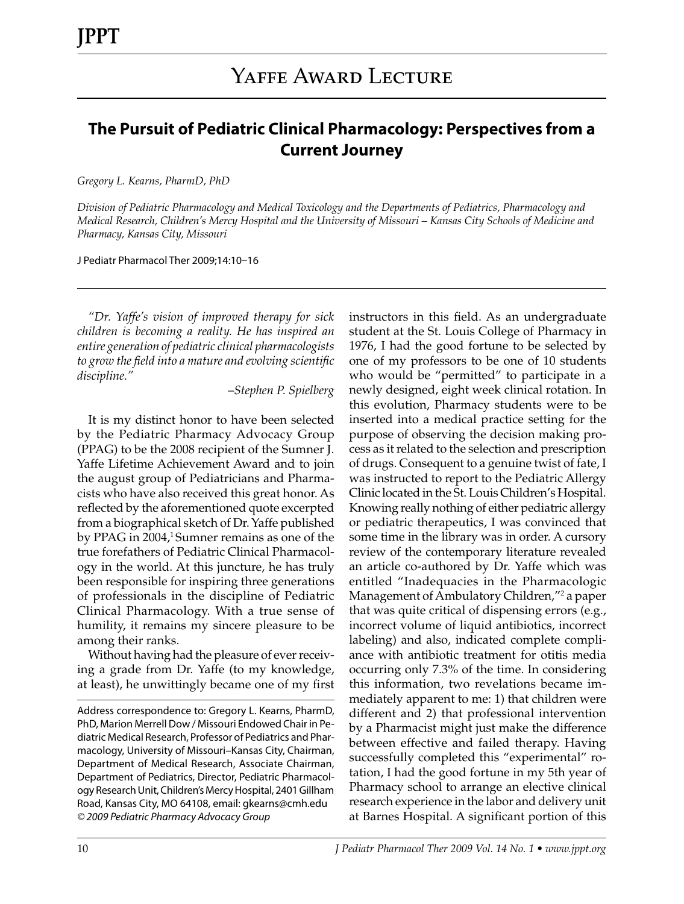# **The Pursuit of Pediatric Clinical Pharmacology: Perspectives from a Current Journey**

*Gregory L. Kearns, PharmD, PhD*

*Division of Pediatric Pharmacology and Medical Toxicology and the Departments of Pediatrics, Pharmacology and Medical Research, Children's Mercy Hospital and the University of Missouri – Kansas City Schools of Medicine and Pharmacy, Kansas City, Missouri*

J Pediatr Pharmacol Ther 2009;14:10–16

*"Dr. Yaffe's vision of improved therapy for sick children is becoming a reality. He has inspired an entire generation of pediatric clinical pharmacologists to grow the field into a mature and evolving scientific discipline."*

–*Stephen P. Spielberg*

It is my distinct honor to have been selected by the Pediatric Pharmacy Advocacy Group (PPAG) to be the 2008 recipient of the Sumner J. Yaffe Lifetime Achievement Award and to join the august group of Pediatricians and Pharmacists who have also received this great honor. As reflected by the aforementioned quote excerpted from a biographical sketch of Dr. Yaffe published by PPAG in 2004,<sup>1</sup> Sumner remains as one of the true forefathers of Pediatric Clinical Pharmacology in the world. At this juncture, he has truly been responsible for inspiring three generations of professionals in the discipline of Pediatric Clinical Pharmacology. With a true sense of humility, it remains my sincere pleasure to be among their ranks.

Without having had the pleasure of ever receiving a grade from Dr. Yaffe (to my knowledge, at least), he unwittingly became one of my first instructors in this field. As an undergraduate student at the St. Louis College of Pharmacy in 1976, I had the good fortune to be selected by one of my professors to be one of 10 students who would be "permitted" to participate in a newly designed, eight week clinical rotation. In this evolution, Pharmacy students were to be inserted into a medical practice setting for the purpose of observing the decision making process as it related to the selection and prescription of drugs. Consequent to a genuine twist of fate, I was instructed to report to the Pediatric Allergy Clinic located in the St. Louis Children's Hospital. Knowing really nothing of either pediatric allergy or pediatric therapeutics, I was convinced that some time in the library was in order. A cursory review of the contemporary literature revealed an article co-authored by Dr. Yaffe which was entitled "Inadequacies in the Pharmacologic Management of Ambulatory Children,"<sup>2</sup> a paper that was quite critical of dispensing errors (e.g., incorrect volume of liquid antibiotics, incorrect labeling) and also, indicated complete compliance with antibiotic treatment for otitis media occurring only 7.3% of the time. In considering this information, two revelations became immediately apparent to me: 1) that children were different and 2) that professional intervention by a Pharmacist might just make the difference between effective and failed therapy. Having successfully completed this "experimental" rotation, I had the good fortune in my 5th year of Pharmacy school to arrange an elective clinical research experience in the labor and delivery unit at Barnes Hospital. A significant portion of this

Address correspondence to: Gregory L. Kearns, PharmD, PhD, Marion Merrell Dow / Missouri Endowed Chair in Pediatric Medical Research, Professor of Pediatrics and Pharmacology, University of Missouri–Kansas City, Chairman, Department of Medical Research, Associate Chairman, Department of Pediatrics, Director, Pediatric Pharmacology Research Unit, Children's Mercy Hospital, 2401 Gillham Road, Kansas City, MO 64108, email: gkearns@cmh.edu *© 2009 Pediatric Pharmacy Advocacy Group*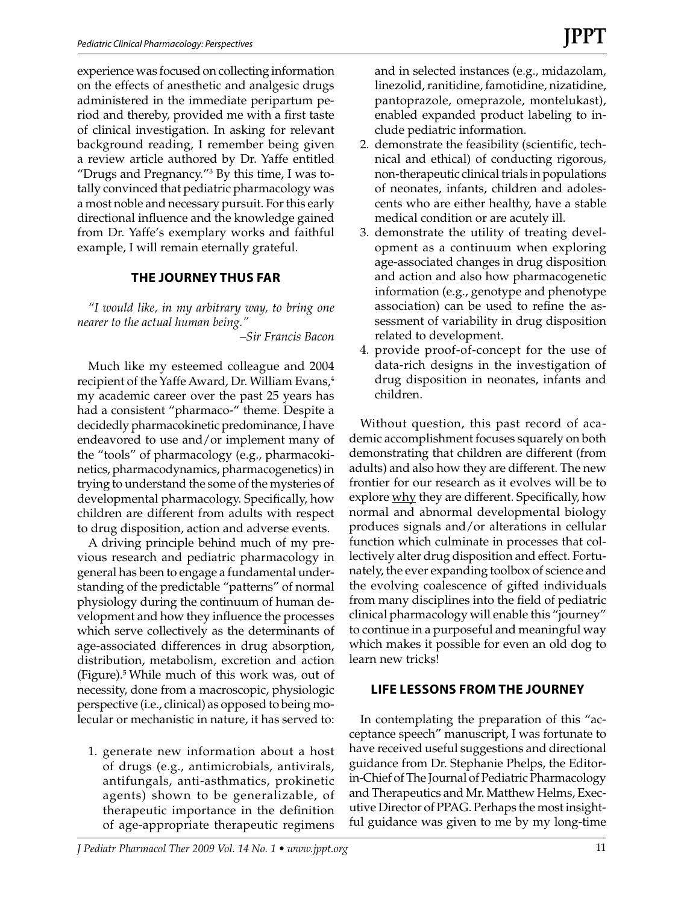experience was focused on collecting information on the effects of anesthetic and analgesic drugs administered in the immediate peripartum period and thereby, provided me with a first taste of clinical investigation. In asking for relevant background reading, I remember being given a review article authored by Dr. Yaffe entitled "Drugs and Pregnancy."3 By this time, I was totally convinced that pediatric pharmacology was a most noble and necessary pursuit. For this early directional influence and the knowledge gained from Dr. Yaffe's exemplary works and faithful example, I will remain eternally grateful.

## **THE JOURNEY THUS FAR**

*"I would like, in my arbitrary way, to bring one nearer to the actual human being."*

–*Sir Francis Bacon*

Much like my esteemed colleague and 2004 recipient of the Yaffe Award, Dr. William Evans,<sup>4</sup> my academic career over the past 25 years has had a consistent "pharmaco-" theme. Despite a decidedly pharmacokinetic predominance, I have endeavored to use and/or implement many of the "tools" of pharmacology (e.g., pharmacokinetics, pharmacodynamics, pharmacogenetics) in trying to understand the some of the mysteries of developmental pharmacology. Specifically, how children are different from adults with respect to drug disposition, action and adverse events.

A driving principle behind much of my previous research and pediatric pharmacology in general has been to engage a fundamental understanding of the predictable "patterns" of normal physiology during the continuum of human development and how they influence the processes which serve collectively as the determinants of age-associated differences in drug absorption, distribution, metabolism, excretion and action (Figure).5 While much of this work was, out of necessity, done from a macroscopic, physiologic perspective (i.e., clinical) as opposed to being molecular or mechanistic in nature, it has served to:

1. generate new information about a host of drugs (e.g., antimicrobials, antivirals, antifungals, anti-asthmatics, prokinetic agents) shown to be generalizable, of therapeutic importance in the definition of age-appropriate therapeutic regimens and in selected instances (e.g., midazolam, linezolid, ranitidine, famotidine, nizatidine, pantoprazole, omeprazole, montelukast), enabled expanded product labeling to include pediatric information.

- 2. demonstrate the feasibility (scientific, technical and ethical) of conducting rigorous, non-therapeutic clinical trials in populations of neonates, infants, children and adolescents who are either healthy, have a stable medical condition or are acutely ill.
- 3. demonstrate the utility of treating development as a continuum when exploring age-associated changes in drug disposition and action and also how pharmacogenetic information (e.g., genotype and phenotype association) can be used to refine the assessment of variability in drug disposition related to development.
- 4. provide proof-of-concept for the use of data-rich designs in the investigation of drug disposition in neonates, infants and children.

Without question, this past record of academic accomplishment focuses squarely on both demonstrating that children are different (from adults) and also how they are different. The new frontier for our research as it evolves will be to explore <u>why</u> they are different. Specifically, how normal and abnormal developmental biology produces signals and/or alterations in cellular function which culminate in processes that collectively alter drug disposition and effect. Fortunately, the ever expanding toolbox of science and the evolving coalescence of gifted individuals from many disciplines into the field of pediatric clinical pharmacology will enable this "journey" to continue in a purposeful and meaningful way which makes it possible for even an old dog to learn new tricks!

# **LIFE LESSONS FROM THE JOURNEY**

In contemplating the preparation of this "acceptance speech" manuscript, I was fortunate to have received useful suggestions and directional guidance from Dr. Stephanie Phelps, the Editorin-Chief of The Journal of Pediatric Pharmacology and Therapeutics and Mr. Matthew Helms, Executive Director of PPAG. Perhaps the most insightful guidance was given to me by my long-time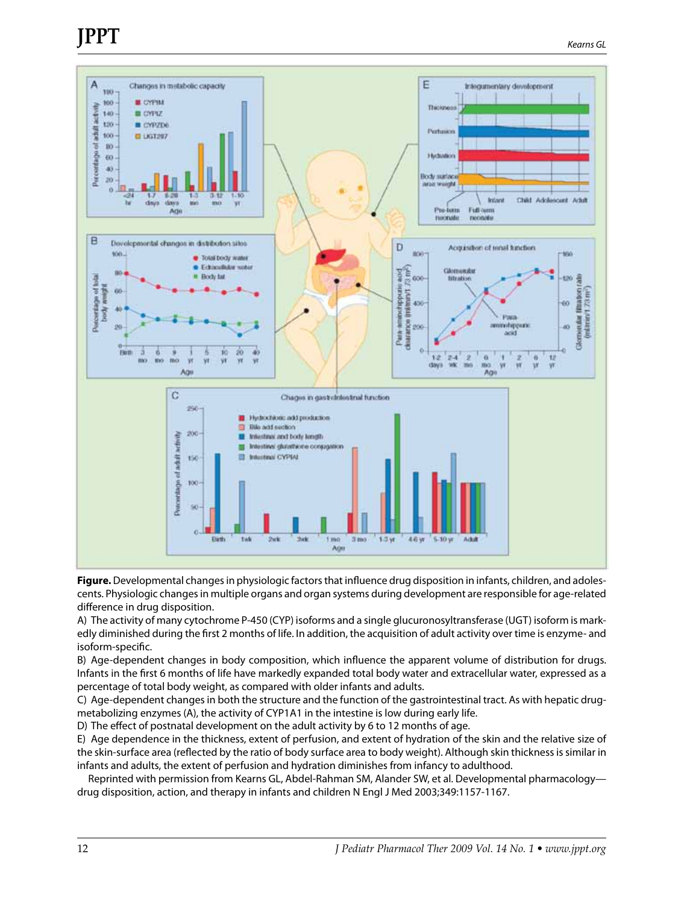# **JPPT**



**Figure.** Developmental changes in physiologic factors that influence drug disposition in infants, children, and adolescents. Physiologic changes in multiple organs and organ systems during development are responsible for age-related difference in drug disposition.

A) The activity of many cytochrome P-450 (CYP) isoforms and a single glucuronosyltransferase (UGT) isoform is markedly diminished during the first 2 months of life. In addition, the acquisition of adult activity over time is enzyme- and isoform-specific.

B) Age-dependent changes in body composition, which influence the apparent volume of distribution for drugs. Infants in the first 6 months of life have markedly expanded total body water and extracellular water, expressed as a percentage of total body weight, as compared with older infants and adults.

C) Age-dependent changes in both the structure and the function of the gastrointestinal tract. As with hepatic drugmetabolizing enzymes (A), the activity of CYP1A1 in the intestine is low during early life.

D) The effect of postnatal development on the adult activity by 6 to 12 months of age.

E) Age dependence in the thickness, extent of perfusion, and extent of hydration of the skin and the relative size of the skin-surface area (reflected by the ratio of body surface area to body weight). Although skin thickness is similar in infants and adults, the extent of perfusion and hydration diminishes from infancy to adulthood.

Reprinted with permission from Kearns GL, Abdel-Rahman SM, Alander SW, et al. Developmental pharmacology drug disposition, action, and therapy in infants and children N Engl J Med 2003;349:1157-1167.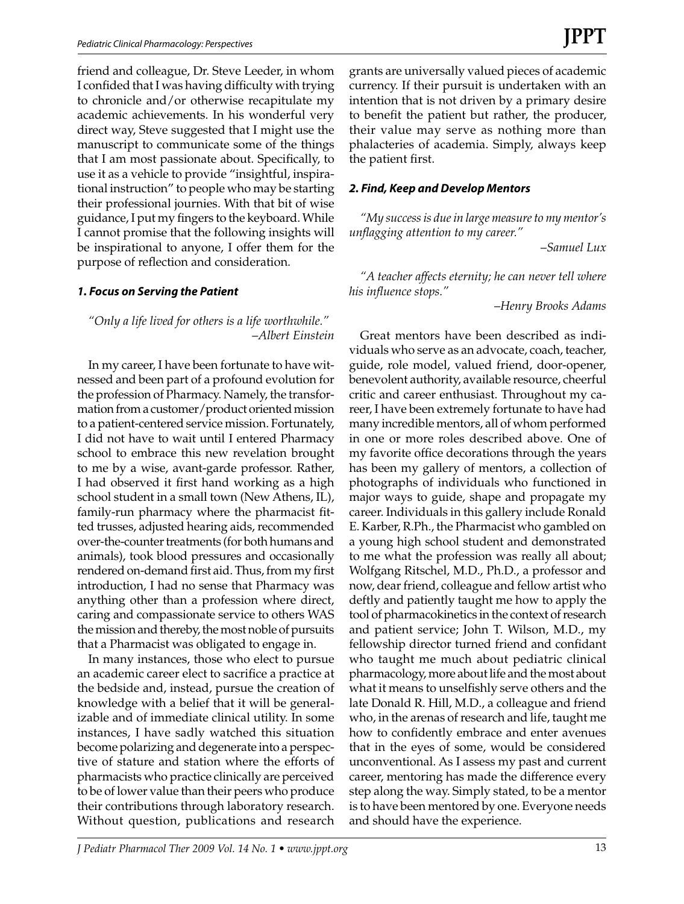friend and colleague, Dr. Steve Leeder, in whom I confided that I was having difficulty with trying to chronicle and/or otherwise recapitulate my academic achievements. In his wonderful very direct way, Steve suggested that I might use the manuscript to communicate some of the things that I am most passionate about. Specifically, to use it as a vehicle to provide "insightful, inspirational instruction" to people who may be starting their professional journies. With that bit of wise guidance, I put my fingers to the keyboard. While I cannot promise that the following insights will be inspirational to anyone, I offer them for the purpose of reflection and consideration.

## *1. Focus on Serving the Patient*

*"Only a life lived for others is a life worthwhile."* –*Albert Einstein*

In my career, I have been fortunate to have witnessed and been part of a profound evolution for the profession of Pharmacy. Namely, the transformation from a customer/product oriented mission to a patient-centered service mission. Fortunately, I did not have to wait until I entered Pharmacy school to embrace this new revelation brought to me by a wise, avant-garde professor. Rather, I had observed it first hand working as a high school student in a small town (New Athens, IL), family-run pharmacy where the pharmacist fitted trusses, adjusted hearing aids, recommended over-the-counter treatments (for both humans and animals), took blood pressures and occasionally rendered on-demand first aid. Thus, from my first introduction, I had no sense that Pharmacy was anything other than a profession where direct, caring and compassionate service to others WAS the mission and thereby, the most noble of pursuits that a Pharmacist was obligated to engage in.

In many instances, those who elect to pursue an academic career elect to sacrifice a practice at the bedside and, instead, pursue the creation of knowledge with a belief that it will be generalizable and of immediate clinical utility. In some instances, I have sadly watched this situation become polarizing and degenerate into a perspective of stature and station where the efforts of pharmacists who practice clinically are perceived to be of lower value than their peers who produce their contributions through laboratory research. Without question, publications and research

grants are universally valued pieces of academic currency. If their pursuit is undertaken with an intention that is not driven by a primary desire to benefit the patient but rather, the producer, their value may serve as nothing more than phalacteries of academia. Simply, always keep the patient first.

#### *2. Find, Keep and Develop Mentors*

*"My success is due in large measure to my mentor's unflagging attention to my career."*

–*Samuel Lux*

*"A teacher affects eternity; he can never tell where his influence stops."*

–*Henry Brooks Adams*

Great mentors have been described as individuals who serve as an advocate, coach, teacher, guide, role model, valued friend, door-opener, benevolent authority, available resource, cheerful critic and career enthusiast. Throughout my career, I have been extremely fortunate to have had many incredible mentors, all of whom performed in one or more roles described above. One of my favorite office decorations through the years has been my gallery of mentors, a collection of photographs of individuals who functioned in major ways to guide, shape and propagate my career. Individuals in this gallery include Ronald E. Karber, R.Ph., the Pharmacist who gambled on a young high school student and demonstrated to me what the profession was really all about; Wolfgang Ritschel, M.D., Ph.D., a professor and now, dear friend, colleague and fellow artist who deftly and patiently taught me how to apply the tool of pharmacokinetics in the context of research and patient service; John T. Wilson, M.D., my fellowship director turned friend and confidant who taught me much about pediatric clinical pharmacology, more about life and the most about what it means to unselfishly serve others and the late Donald R. Hill, M.D., a colleague and friend who, in the arenas of research and life, taught me how to confidently embrace and enter avenues that in the eyes of some, would be considered unconventional. As I assess my past and current career, mentoring has made the difference every step along the way. Simply stated, to be a mentor is to have been mentored by one. Everyone needs and should have the experience.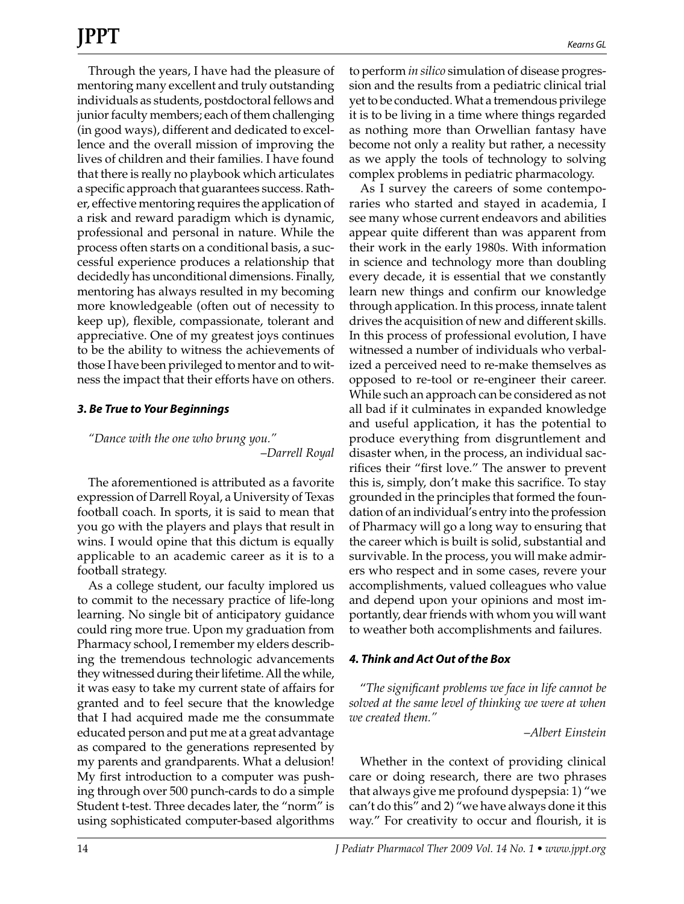Through the years, I have had the pleasure of mentoring many excellent and truly outstanding individuals as students, postdoctoral fellows and junior faculty members; each of them challenging (in good ways), different and dedicated to excellence and the overall mission of improving the lives of children and their families. I have found that there is really no playbook which articulates a specific approach that guarantees success. Rather, effective mentoring requires the application of a risk and reward paradigm which is dynamic, professional and personal in nature. While the process often starts on a conditional basis, a successful experience produces a relationship that decidedly has unconditional dimensions. Finally, mentoring has always resulted in my becoming more knowledgeable (often out of necessity to keep up), flexible, compassionate, tolerant and appreciative. One of my greatest joys continues to be the ability to witness the achievements of those I have been privileged to mentor and to witness the impact that their efforts have on others.

#### *3. Be True to Your Beginnings*

*"Dance with the one who brung you."* –*Darrell Royal*

The aforementioned is attributed as a favorite expression of Darrell Royal, a University of Texas football coach. In sports, it is said to mean that you go with the players and plays that result in wins. I would opine that this dictum is equally applicable to an academic career as it is to a football strategy.

As a college student, our faculty implored us to commit to the necessary practice of life-long learning. No single bit of anticipatory guidance could ring more true. Upon my graduation from Pharmacy school, I remember my elders describing the tremendous technologic advancements they witnessed during their lifetime. All the while, it was easy to take my current state of affairs for granted and to feel secure that the knowledge that I had acquired made me the consummate educated person and put me at a great advantage as compared to the generations represented by my parents and grandparents. What a delusion! My first introduction to a computer was pushing through over 500 punch-cards to do a simple Student t-test. Three decades later, the "norm" is using sophisticated computer-based algorithms to perform *in silico* simulation of disease progression and the results from a pediatric clinical trial yet to be conducted. What a tremendous privilege it is to be living in a time where things regarded as nothing more than Orwellian fantasy have become not only a reality but rather, a necessity as we apply the tools of technology to solving complex problems in pediatric pharmacology.

As I survey the careers of some contemporaries who started and stayed in academia, I see many whose current endeavors and abilities appear quite different than was apparent from their work in the early 1980s. With information in science and technology more than doubling every decade, it is essential that we constantly learn new things and confirm our knowledge through application. In this process, innate talent drives the acquisition of new and different skills. In this process of professional evolution, I have witnessed a number of individuals who verbalized a perceived need to re-make themselves as opposed to re-tool or re-engineer their career. While such an approach can be considered as not all bad if it culminates in expanded knowledge and useful application, it has the potential to produce everything from disgruntlement and disaster when, in the process, an individual sacrifices their "first love." The answer to prevent this is, simply, don't make this sacrifice. To stay grounded in the principles that formed the foundation of an individual's entry into the profession of Pharmacy will go a long way to ensuring that the career which is built is solid, substantial and survivable. In the process, you will make admirers who respect and in some cases, revere your accomplishments, valued colleagues who value and depend upon your opinions and most importantly, dear friends with whom you will want to weather both accomplishments and failures.

#### *4. Think and Act Out of the Box*

"*The significant problems we face in life cannot be solved at the same level of thinking we were at when we created them."*

–*Albert Einstein*

Whether in the context of providing clinical care or doing research, there are two phrases that always give me profound dyspepsia: 1) "we can't do this" and 2) "we have always done it this way." For creativity to occur and flourish, it is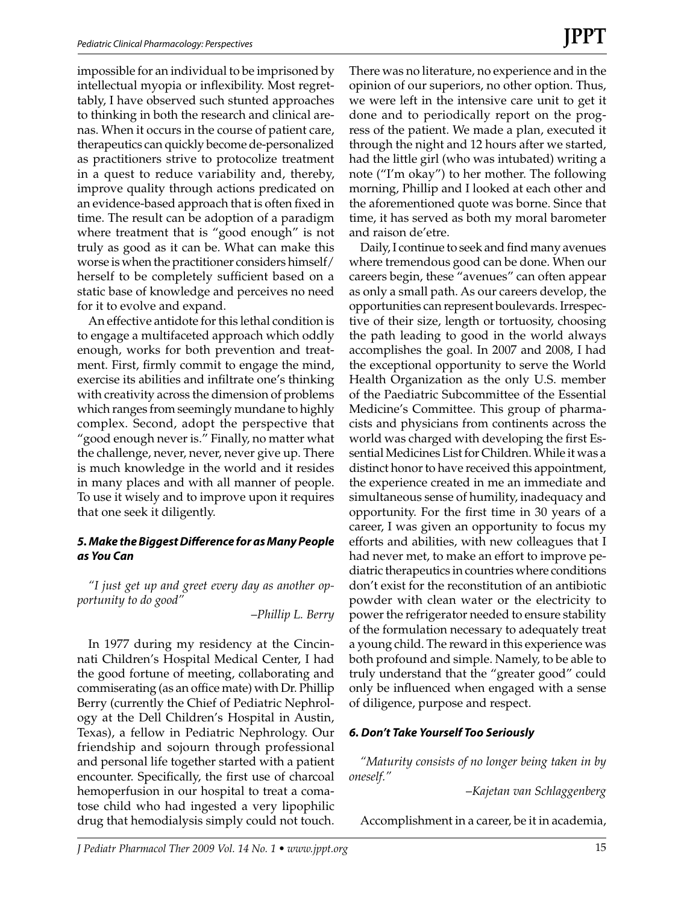impossible for an individual to be imprisoned by intellectual myopia or inflexibility. Most regrettably, I have observed such stunted approaches to thinking in both the research and clinical arenas. When it occurs in the course of patient care, therapeutics can quickly become de-personalized as practitioners strive to protocolize treatment in a quest to reduce variability and, thereby, improve quality through actions predicated on an evidence-based approach that is often fixed in time. The result can be adoption of a paradigm where treatment that is "good enough" is not truly as good as it can be. What can make this worse is when the practitioner considers himself/ herself to be completely sufficient based on a static base of knowledge and perceives no need for it to evolve and expand.

An effective antidote for this lethal condition is to engage a multifaceted approach which oddly enough, works for both prevention and treatment. First, firmly commit to engage the mind, exercise its abilities and infiltrate one's thinking with creativity across the dimension of problems which ranges from seemingly mundane to highly complex. Second, adopt the perspective that "good enough never is." Finally, no matter what the challenge, never, never, never give up. There is much knowledge in the world and it resides in many places and with all manner of people. To use it wisely and to improve upon it requires that one seek it diligently.

#### *5. Make the Biggest Difference for as Many People as You Can*

*"I just get up and greet every day as another opportunity to do good"*

–*Phillip L. Berry*

In 1977 during my residency at the Cincinnati Children's Hospital Medical Center, I had the good fortune of meeting, collaborating and commiserating (as an office mate) with Dr. Phillip Berry (currently the Chief of Pediatric Nephrology at the Dell Children's Hospital in Austin, Texas), a fellow in Pediatric Nephrology. Our friendship and sojourn through professional and personal life together started with a patient encounter. Specifically, the first use of charcoal hemoperfusion in our hospital to treat a comatose child who had ingested a very lipophilic drug that hemodialysis simply could not touch.

There was no literature, no experience and in the opinion of our superiors, no other option. Thus, we were left in the intensive care unit to get it done and to periodically report on the progress of the patient. We made a plan, executed it through the night and 12 hours after we started, had the little girl (who was intubated) writing a note ("I'm okay") to her mother. The following morning, Phillip and I looked at each other and the aforementioned quote was borne. Since that time, it has served as both my moral barometer and raison de'etre.

Daily, I continue to seek and find many avenues where tremendous good can be done. When our careers begin, these "avenues" can often appear as only a small path. As our careers develop, the opportunities can represent boulevards. Irrespective of their size, length or tortuosity, choosing the path leading to good in the world always accomplishes the goal. In 2007 and 2008, I had the exceptional opportunity to serve the World Health Organization as the only U.S. member of the Paediatric Subcommittee of the Essential Medicine's Committee. This group of pharmacists and physicians from continents across the world was charged with developing the first Essential Medicines List for Children. While it was a distinct honor to have received this appointment, the experience created in me an immediate and simultaneous sense of humility, inadequacy and opportunity. For the first time in 30 years of a career, I was given an opportunity to focus my efforts and abilities, with new colleagues that I had never met, to make an effort to improve pediatric therapeutics in countries where conditions don't exist for the reconstitution of an antibiotic powder with clean water or the electricity to power the refrigerator needed to ensure stability of the formulation necessary to adequately treat a young child. The reward in this experience was both profound and simple. Namely, to be able to truly understand that the "greater good" could only be influenced when engaged with a sense of diligence, purpose and respect.

#### *6. Don't Take Yourself Too Seriously*

*"Maturity consists of no longer being taken in by oneself."*

–*Kajetan van Schlaggenberg*

Accomplishment in a career, be it in academia,